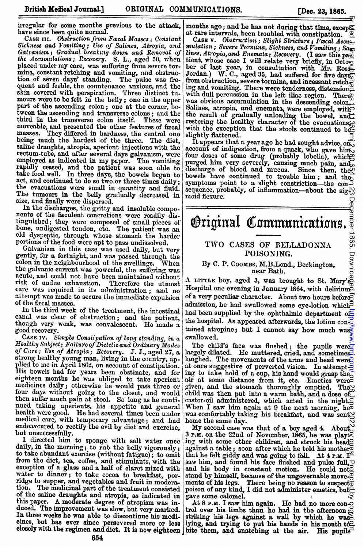1865.

Downlc

irregular for some months previous to the attack, have since been quite normal.

Galvanism; Gradual breaking down and Removal of the Accumulations; Recovery. S. L., aged 50, when placed under my care, was suffering from severe tormina, constant retching and vomiting, and obstruction of seven days' standing. The pulse was frequent and feeble, the countenance anxious, and the skin covered with perspiration. Three distinct tumours were to be felt in the belly; one in the upper part of the ascending colon; one at the corner, bethe ascending and transverse colons; and the tu-<br>in the transverse colon itself. These were  $\begin{bmatrix} 1 \\ 1 \\ 2 \end{bmatrix}$ <br>ble, and presented the other features of focal masses. They differed in hardness, the central one slightly flattened. being much the hardest of the three. The diet. saline draughts, atropia, aperient injections with the rectum-tube, and after several days galvanism, were employed as indicated in my paper. The vomiting r ceased, and the patient was soon able to  $\begin{bmatrix} 1 \\ 0 \\ 0 \end{bmatrix}$ <br>od well. In three days, the bowels began to  $\begin{bmatrix} 1 \\ 0 \end{bmatrix}$ act, and continued to do so two or three times daily; the evacuations were small in quantity and fluid. The tumours in the belly gradually decreased in size, and finally were dispersed.

In the discharges, the gritty and insoluble components of the faculent concretions were readily distinguished; they were composed of small pieces of bone, undigested tendon, ctc. The patient was an old dyspeptic, through whose stomach the harder portions of the food were apt to pass undissolved.

of the food were apt to pass undissolved.<br>anism in this case was used daily, but very gently, for a fortnight, and was passed through the colon in the neighbourhood of the swellings. When colon in the neighbourhood of the swellings. the galvanic current was powerful, the suffering was acute, and could not have been maintained without risk of undue exhaustion. Therefore the utmost Therefore the utmost care was required in its administration; and no  $\alpha$  was made to secure the immediate expulsion

of the fixed masses.<br>In the third week of the treatment, the intestinal de third week of the treatment, the intestinal  $\begin{bmatrix} 1 \\ 1 \end{bmatrix}$  was clear of obstruction; and the patient,  $\begin{bmatrix} 1 \\ 1 \end{bmatrix}$ good recovery.

CASE IV. Simple Constipation of long standing, in a Healthy Subject; Failure of Dietetic and Ordinar'y Modes of Cure; Use of Atropia; Recovery. J. J., aged 27, a strong healthy young man, living in the country, applied to me in April 1862, on account of constipation. wels had for years been obstinate, and for  $\mathbf i$ eighteen months he was obliged to take aperient medicines daily; otherwise he would pass three or four days without going to the closet, and would then suffer much pain at stool. So long as he contitaking aperients, his appetite and general medical care, with temporary advantage; and had home the same day. Fully in the compount  $\mu$  dividend  $\mu$ , and  $\mu$  and  $\mu$ 

 $\text{rected him}$  to sponge with salt water once daily, in the morning; to rub the belly vigorously; to take abundant exercise (without fatigue); to omit he diet, tea, coffee, and stimulants, with the  $\begin{bmatrix} \text{ion of a glass and a half of the current.} \end{bmatrix}$ to dinner; to take cocons to the saling  $\frac{1}{2}$ to supper, and vegetables and fruit in moderation. The medicinal part of the treatment consisted. of the saline draughts and atropia, as indicated in gave some calomel For A moderate degree of atropism was in-

months ago; and he has not during that time, excepts

have since been quite normal.<br>
CASE III. Obstruction from Facal Masses; Constant | CASE V. Obstruction; Slight Stricture; Facal Accu-<br>
Sickness and Vomiting; Use of Salines, Atropia, and | mulation; Severe Tormina, Sicknes es, atropia, and Enemata; Recovery. (I saw this perform, whose case I will relate very briefly, in Octormina, The Case I will relation with Mr. Ro<br>ir of last year, in consultation with Mr. Ro<br>rdan.) W. C., aged 35, had suf from obstruction, severe tormina, and incessant retch $\frac{1}{n}$ ing and vomiting. There were tenderness, distension with dull percussion in the left iliac region. There was obvious accumulation in the descending colon. dines, atropia, and enemats, were employed, with dines, atropia, and enemats, were employed, with events of gradually unloading the bowel, as with the exception that the stools continued to be on 28 June 2022 by groein 28 June 2022 by gedeem as 10.1114 by www.bune 2003 in 23 December 1967. Popyright pu

ghtly flattened.<br>It appears that a year ago he had sought advice, a count of indigestion, from a quack, who gave him doses of some drug (probably lobelia), white<br>in the stood that a sought and solved to be a solven as solven as solved and pulsar a solve hand a wels have continued to trouble him; and twist much probability and the severe continued to trouble him; and t symptoms point to a slight constriction—the con $\geq$ sequence, probably, of inflammation-about the sigmoid flexure.

**Original Communications.** 

sequence, probably, of inflammation-about the sig-

moid flexure.

## TWO CASES OF BELLADONNA

## By C. P. Coomss, M.B.Lond., Beckington, near Bath.

 $\Lambda$  LITTLE boy, aged 3, was brought to St. Mary's Hospital one evening in January 1864, with delirium  $\frac{1}{2}$ w very peculiar character. About two hours before admission, he had swallowed some eye-lotion which  $\exists$ had been supplied by the ophthalmic department of the hospital. As appeared afterwards, the lotion contained atropine; but I cannot say how much was swallowed.

The child's face was flushed; the pupils were largely dilated. He muttered, cried, and sometimes laughed. The movements of the arms and head we at once suggestive of perverted vision. In attempting to take hold of a cup, his hand would grasp the r at some distance from it, etc. Emetics word, and the stomach thoroughly emptied. Thild was then put into a warm bath, and a dose castor-oil administered, which acted in the night. When I saw him again at 9 the next morning, hed For a boundary the same day. The same day is that is that is seen that is a boundary that is that of a boundary of the same day.

My second case was that of a boy aged 4. About  $M$  $3$  P.m. on the 22nd of November, 1865, he was playing with some other children, and struck his head? against a table; soon after which he told his mother that he felt giddy and was going to fall. At 4 P.M. I saw him, and found his face flushed and pulse full,  $\Box$ and his body in constant motion. He could noto and by himself, because of the ungovernable mo ents of his legs. There being no reason to susp<br>pison of any kind, I did not administer emetics, b ave some calomel.<br>At 8 P.m. I saw him again. He had no more  $c$ 

trol over his limbs than he had in the afternoon  $\frac{1}{2}$ . In three weeks he was able to discontinue his medi- striking his legs against a wall by which he was cines, but has ever since persevered more or less lying, and trying to put his hands in his mouth to closely with the reg striking his legs against a wall by which he was